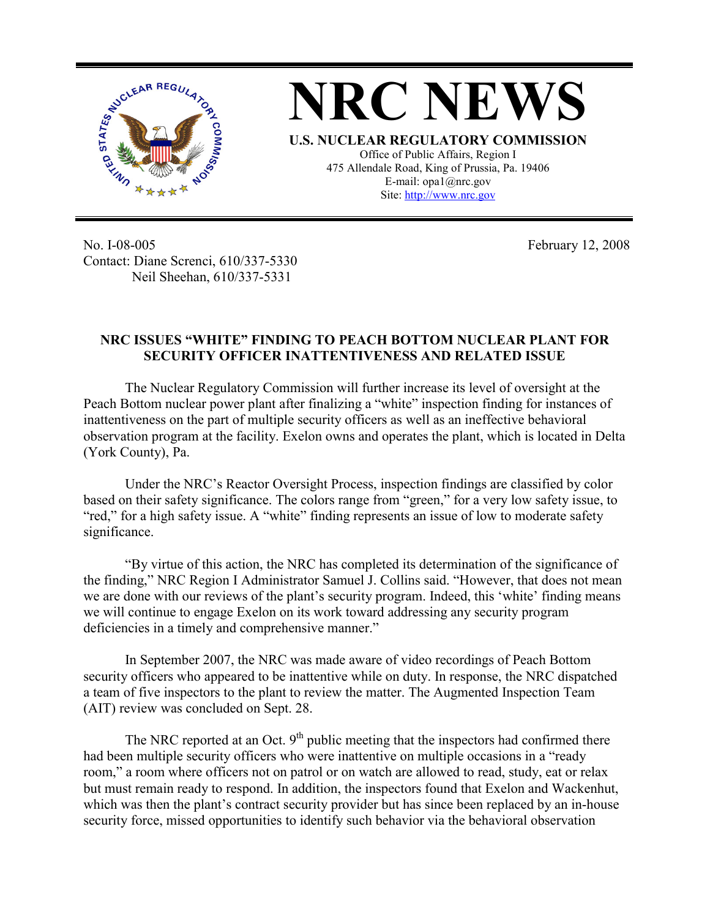

**NRC NEWS U.S. NUCLEAR REGULATORY COMMISSION** Office of Public Affairs, Region I 475 Allendale Road, King of Prussia, Pa. 19406 E-mail: opa1@nrc.gov Site: http://www.nrc.gov

No. I-08-005 Contact: Diane Screnci, 610/337-5330 Neil Sheehan, 610/337-5331

February 12, 2008

## **NRC ISSUES "WHITE" FINDING TO PEACH BOTTOM NUCLEAR PLANT FOR SECURITY OFFICER INATTENTIVENESS AND RELATED ISSUE**

The Nuclear Regulatory Commission will further increase its level of oversight at the Peach Bottom nuclear power plant after finalizing a "white" inspection finding for instances of inattentiveness on the part of multiple security officers as well as an ineffective behavioral observation program at the facility. Exelon owns and operates the plant, which is located in Delta (York County), Pa.

Under the NRC's Reactor Oversight Process, inspection findings are classified by color based on their safety significance. The colors range from "green," for a very low safety issue, to "red," for a high safety issue. A "white" finding represents an issue of low to moderate safety significance.

"By virtue of this action, the NRC has completed its determination of the significance of the finding," NRC Region I Administrator Samuel J. Collins said. "However, that does not mean we are done with our reviews of the plant's security program. Indeed, this 'white' finding means we will continue to engage Exelon on its work toward addressing any security program deficiencies in a timely and comprehensive manner."

In September 2007, the NRC was made aware of video recordings of Peach Bottom security officers who appeared to be inattentive while on duty. In response, the NRC dispatched a team of five inspectors to the plant to review the matter. The Augmented Inspection Team (AIT) review was concluded on Sept. 28.

The NRC reported at an Oct.  $9<sup>th</sup>$  public meeting that the inspectors had confirmed there had been multiple security officers who were inattentive on multiple occasions in a "ready room," a room where officers not on patrol or on watch are allowed to read, study, eat or relax but must remain ready to respond. In addition, the inspectors found that Exelon and Wackenhut, which was then the plant's contract security provider but has since been replaced by an in-house security force, missed opportunities to identify such behavior via the behavioral observation